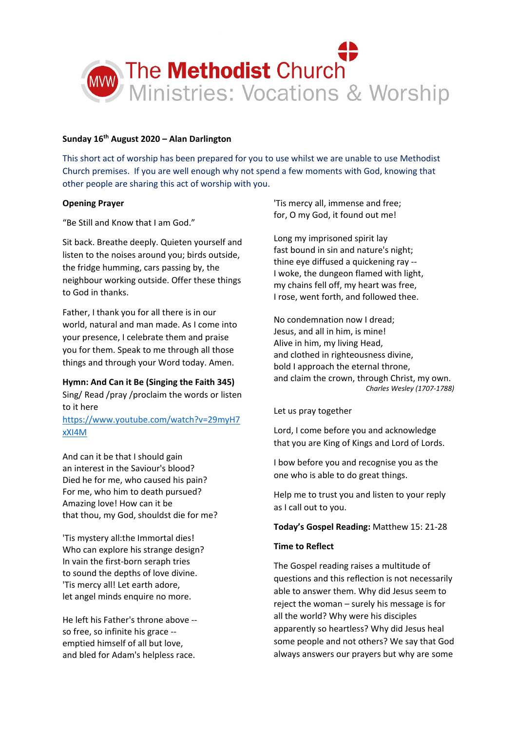

# **Sunday 16th August 2020 – Alan Darlington**

This short act of worship has been prepared for you to use whilst we are unable to use Methodist Church premises. If you are well enough why not spend a few moments with God, knowing that other people are sharing this act of worship with you.

## **Opening Prayer**

"Be Still and Know that I am God."

Sit back. Breathe deeply. Quieten yourself and listen to the noises around you; birds outside, the fridge humming, cars passing by, the neighbour working outside. Offer these things to God in thanks.

Father, I thank you for all there is in our world, natural and man made. As I come into your presence, I celebrate them and praise you for them. Speak to me through all those things and through your Word today. Amen.

## **Hymn: And Can it Be (Singing the Faith 345)**

Sing/ Read /pray /proclaim the words or listen to it here

[https://www.youtube.com/watch?v=29myH7](https://www.youtube.com/watch?v=29myH7xXI4M) [xXI4M](https://www.youtube.com/watch?v=29myH7xXI4M) 

And can it be that I should gain an interest in the Saviour's blood? Died he for me, who caused his pain? For me, who him to death pursued? Amazing love! How can it be that thou, my God, shouldst die for me?

'Tis mystery all:the Immortal dies! Who can explore his strange design? In vain the first-born seraph tries to sound the depths of love divine. 'Tis mercy all! Let earth adore, let angel minds enquire no more.

He left his Father's throne above - so free, so infinite his grace - emptied himself of all but love, and bled for Adam's helpless race.

'Tis mercy all, immense and free; for, O my God, it found out me!

Long my imprisoned spirit lay fast bound in sin and nature's night; thine eye diffused a quickening ray -- I woke, the dungeon flamed with light, my chains fell off, my heart was free, I rose, went forth, and followed thee.

No condemnation now I dread; Jesus, and all in him, is mine! Alive in him, my living Head, and clothed in righteousness divine, bold I approach the eternal throne, and claim the crown, through Christ, my own. *Charles Wesley (1707-1788)*

## Let us pray together

Lord, I come before you and acknowledge that you are King of Kings and Lord of Lords.

I bow before you and recognise you as the one who is able to do great things.

Help me to trust you and listen to your reply as I call out to you.

# **Today's Gospel Reading:** Matthew 15: 21-28

## **Time to Reflect**

The Gospel reading raises a multitude of questions and this reflection is not necessarily able to answer them. Why did Jesus seem to reject the woman – surely his message is for all the world? Why were his disciples apparently so heartless? Why did Jesus heal some people and not others? We say that God always answers our prayers but why are some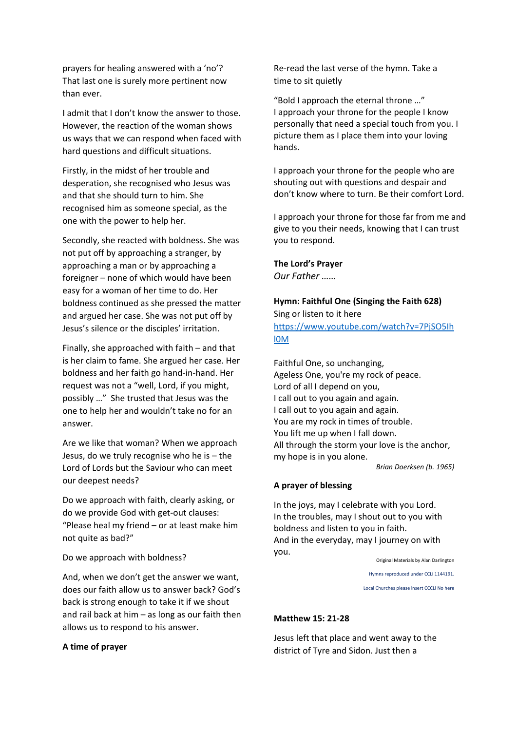prayers for healing answered with a 'no'? That last one is surely more pertinent now than ever.

I admit that I don't know the answer to those. However, the reaction of the woman shows us ways that we can respond when faced with hard questions and difficult situations.

Firstly, in the midst of her trouble and desperation, she recognised who Jesus was and that she should turn to him. She recognised him as someone special, as the one with the power to help her.

Secondly, she reacted with boldness. She was not put off by approaching a stranger, by approaching a man or by approaching a foreigner – none of which would have been easy for a woman of her time to do. Her boldness continued as she pressed the matter and argued her case. She was not put off by Jesus's silence or the disciples' irritation.

Finally, she approached with faith – and that is her claim to fame. She argued her case. Her boldness and her faith go hand-in-hand. Her request was not a "well, Lord, if you might, possibly …" She trusted that Jesus was the one to help her and wouldn't take no for an answer.

Are we like that woman? When we approach Jesus, do we truly recognise who he is – the Lord of Lords but the Saviour who can meet our deepest needs?

Do we approach with faith, clearly asking, or do we provide God with get-out clauses: "Please heal my friend – or at least make him not quite as bad?"

## Do we approach with boldness?

And, when we don't get the answer we want, does our faith allow us to answer back? God's back is strong enough to take it if we shout and rail back at him – as long as our faith then allows us to respond to his answer.

#### **A time of prayer**

Re-read the last verse of the hymn. Take a time to sit quietly

"Bold I approach the eternal throne …" I approach your throne for the people I know personally that need a special touch from you. I picture them as I place them into your loving hands.

I approach your throne for the people who are shouting out with questions and despair and don't know where to turn. Be their comfort Lord.

I approach your throne for those far from me and give to you their needs, knowing that I can trust you to respond.

**The Lord's Prayer** *Our Father ……*

**Hymn: Faithful One (Singing the Faith 628)** Sing or listen to it here [https://www.youtube.com/watch?v=7PjSO5Ih](https://www.youtube.com/watch?v=7PjSO5Ihl0M) [l0M](https://www.youtube.com/watch?v=7PjSO5Ihl0M)

Faithful One, so unchanging, Ageless One, you're my rock of peace. Lord of all I depend on you, I call out to you again and again. I call out to you again and again. You are my rock in times of trouble. You lift me up when I fall down. All through the storm your love is the anchor, my hope is in you alone. *Brian Doerksen (b. 1965)*

## **A prayer of blessing**

In the joys, may I celebrate with you Lord. In the troubles, may I shout out to you with boldness and listen to you in faith. And in the everyday, may I journey on with you.

Original Materials by Alan Darlington

Hymns reproduced under CCLi 1144191.

Local Churches please insert CCCLi No here

## **Matthew 15: 21-28**

Jesus left that place and went away to the district of Tyre and Sidon. Just then a